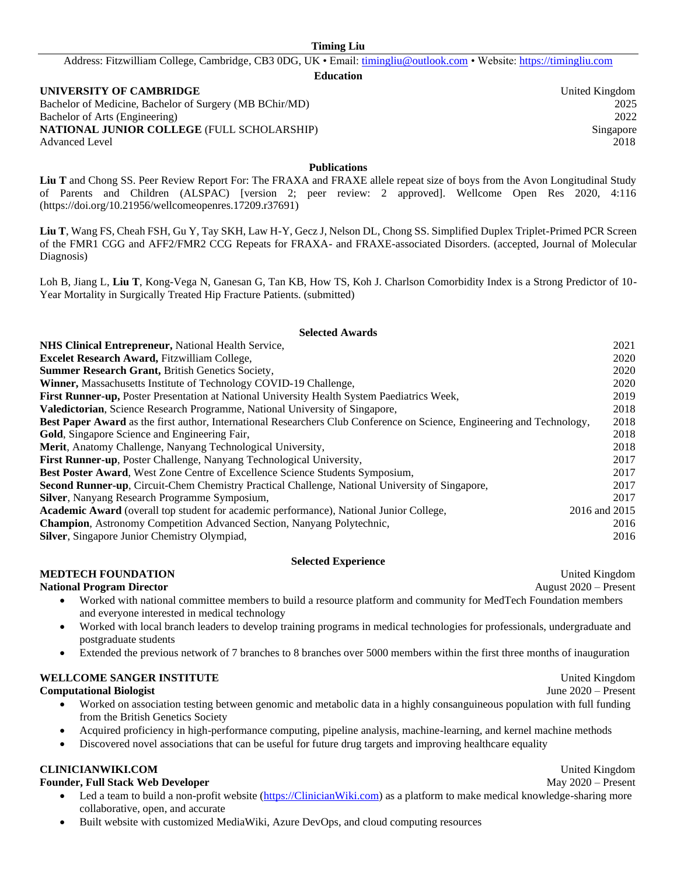Address: Fitzwilliam College, Cambridge, CB3 0DG, UK • Email: [timingliu@outlook.com](mailto:timingliu@outlook.com) • Website: [https://timingliu.com](https://timingliu.com/)

**Education**

#### **UNIVERSITY OF CAMBRIDGE United Kingdom** United Kingdom

Bachelor of Medicine, Bachelor of Surgery (MB BChir/MD) 2025 Bachelor of Arts (Engineering) 2022 **NATIONAL JUNIOR COLLEGE** (FULL SCHOLARSHIP) Singapore Advanced Level 2018

**Publications**

Liu T and Chong SS. Peer Review Report For: The FRAXA and FRAXE allele repeat size of boys from the Avon Longitudinal Study of Parents and Children (ALSPAC) [version 2; peer review: 2 approved]. Wellcome Open Res 2020, 4:116 (https://doi.org/10.21956/wellcomeopenres.17209.r37691)

**Liu T**, Wang FS, Cheah FSH, Gu Y, Tay SKH, Law H-Y, Gecz J, Nelson DL, Chong SS. Simplified Duplex Triplet-Primed PCR Screen of the FMR1 CGG and AFF2/FMR2 CCG Repeats for FRAXA- and FRAXE-associated Disorders. (accepted, Journal of Molecular Diagnosis)

Loh B, Jiang L, **Liu T**, Kong-Vega N, Ganesan G, Tan KB, How TS, Koh J. Charlson Comorbidity Index is a Strong Predictor of 10- Year Mortality in Surgically Treated Hip Fracture Patients. (submitted)

#### **Selected Awards**

| NHS Clinical Entrepreneur, National Health Service,                                                                     | 2021          |
|-------------------------------------------------------------------------------------------------------------------------|---------------|
| <b>Excelet Research Award, Fitzwilliam College,</b>                                                                     | 2020          |
| Summer Research Grant, British Genetics Society,                                                                        | 2020          |
| Winner, Massachusetts Institute of Technology COVID-19 Challenge,                                                       | 2020          |
| First Runner-up, Poster Presentation at National University Health System Paediatrics Week,                             | 2019          |
| <b>Valedictorian, Science Research Programme, National University of Singapore,</b>                                     | 2018          |
| Best Paper Award as the first author, International Researchers Club Conference on Science, Engineering and Technology, | 2018          |
| <b>Gold</b> , Singapore Science and Engineering Fair,                                                                   | 2018          |
| Merit, Anatomy Challenge, Nanyang Technological University,                                                             | 2018          |
| <b>First Runner-up.</b> Poster Challenge, Nanyang Technological University,                                             | 2017          |
| <b>Best Poster Award, West Zone Centre of Excellence Science Students Symposium,</b>                                    | 2017          |
| <b>Second Runner-up, Circuit-Chem Chemistry Practical Challenge, National University of Singapore,</b>                  | 2017          |
| <b>Silver, Nanyang Research Programme Symposium,</b>                                                                    | 2017          |
| Academic Award (overall top student for academic performance), National Junior College,                                 | 2016 and 2015 |
| Champion, Astronomy Competition Advanced Section, Nanyang Polytechnic,                                                  | 2016          |
| <b>Silver</b> , Singapore Junior Chemistry Olympiad,                                                                    | 2016          |

#### **Selected Experience**

#### **MEDTECH FOUNDATION** United Kingdom

**National Program Director August 2020** – Present

- Worked with national committee members to build a resource platform and community for MedTech Foundation members and everyone interested in medical technology
- Worked with local branch leaders to develop training programs in medical technologies for professionals, undergraduate and postgraduate students
- Extended the previous network of 7 branches to 8 branches over 5000 members within the first three months of inauguration

#### **WELLCOME SANGER INSTITUTE** United Kingdom

#### **Computational Biologist** June 2020 – Present

- Worked on association testing between genomic and metabolic data in a highly consanguineous population with full funding from the British Genetics Society
- Acquired proficiency in high-performance computing, pipeline analysis, machine-learning, and kernel machine methods
- Discovered novel associations that can be useful for future drug targets and improving healthcare equality

#### **CLINICIANWIKI.COM** United Kingdom

#### **Founder, Full Stack Web Developer** May 2020 – Present

- Led a team to build a non-profit website [\(https://ClinicianWiki.c](https://clinicianwiki./)om) as a platform to make medical knowledge-sharing more collaborative, open, and accurate
- Built website with customized MediaWiki, Azure DevOps, and cloud computing resources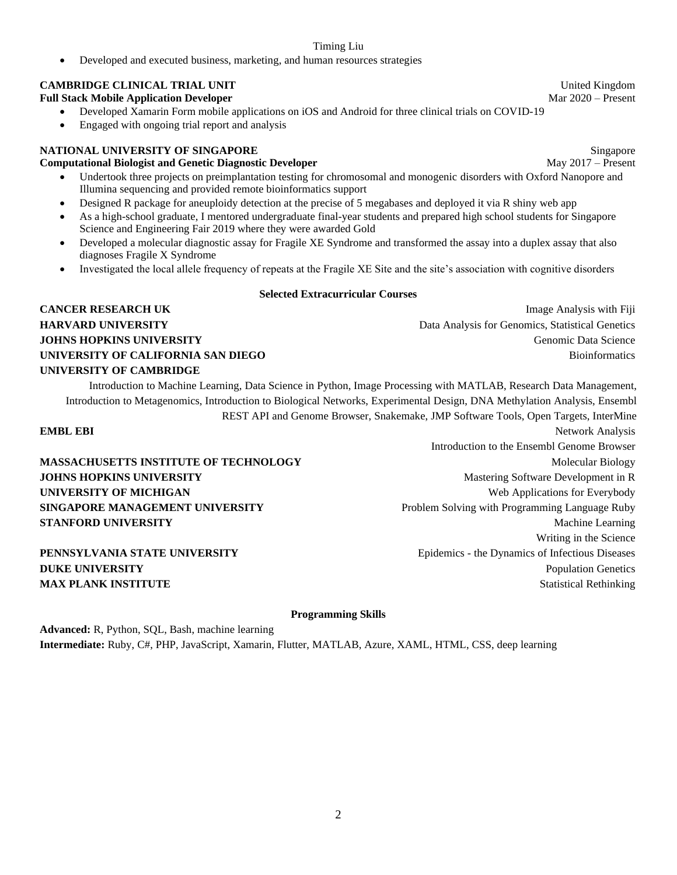• Developed and executed business, marketing, and human resources strategies

#### **CAMBRIDGE CLINICAL TRIAL UNIT United Kingdom** United Kingdom

**Full Stack Mobile Application Developer** Mar 2020 – Present

- Developed Xamarin Form mobile applications on iOS and Android for three clinical trials on COVID-19
- Engaged with ongoing trial report and analysis

#### **NATIONAL UNIVERSITY OF SINGAPORE** Singapore

#### **Computational Biologist and Genetic Diagnostic Developer**  May 2017 – Present

- Undertook three projects on preimplantation testing for chromosomal and monogenic disorders with Oxford Nanopore and Illumina sequencing and provided remote bioinformatics support
- Designed R package for aneuploidy detection at the precise of 5 megabases and deployed it via R shiny web app
- As a high-school graduate, I mentored undergraduate final-year students and prepared high school students for Singapore Science and Engineering Fair 2019 where they were awarded Gold
- Developed a molecular diagnostic assay for Fragile XE Syndrome and transformed the assay into a duplex assay that also diagnoses Fragile X Syndrome
- Investigated the local allele frequency of repeats at the Fragile XE Site and the site's association with cognitive disorders

#### **Selected Extracurricular Courses**

# **CANCER RESEARCH UK** Image Analysis with Fiji **UNIVERSITY OF CAMBRIDGE**

**HARVARD UNIVERSITY Data Analysis for Genomics, Statistical Genetics** Data Analysis for Genomics, Statistical Genetics **JOHNS HOPKINS UNIVERSITY Genomic Data Science UNIVERSITY OF CALIFORNIA SAN DIEGO** Bioinformatics Bioinformatics

Introduction to Machine Learning, Data Science in Python, Image Processing with MATLAB, Research Data Management, Introduction to Metagenomics, Introduction to Biological Networks, Experimental Design, DNA Methylation Analysis, Ensembl REST API and Genome Browser, Snakemake, JMP Software Tools, Open Targets, InterMine

**MASSACHUSETTS INSTITUTE OF TECHNOLOGY** MOLECULAR Molecular Biology **JOHNS HOPKINS UNIVERSITY Mastering Software Development in R** Mastering Software Development in R **UNIVERSITY OF MICHIGAN** Web Applications for Everybody **SINGAPORE MANAGEMENT UNIVERSITY** Problem Solving with Programming Language Ruby **STANFORD UNIVERSITY** Machine Learning

**EMBL EBI** Network Analysis Introduction to the Ensembl Genome Browser Writing in the Science **PENNSYLVANIA STATE UNIVERSITY** Epidemics - the Dynamics of Infectious Diseases **DUKE UNIVERSITY** Population Genetics **MAX PLANK INSTITUTE** Statistical Rethinking

#### **Programming Skills**

**Advanced:** R, Python, SQL, Bash, machine learning **Intermediate:** Ruby, C#, PHP, JavaScript, Xamarin, Flutter, MATLAB, Azure, XAML, HTML, CSS, deep learning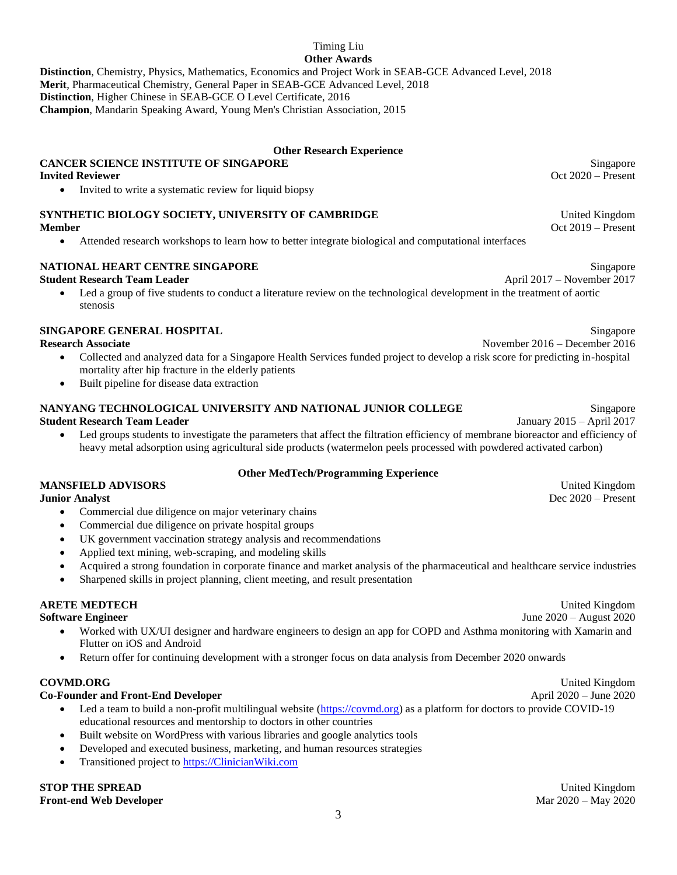#### Timing Liu **Other Awards**

**Distinction**, Chemistry, Physics, Mathematics, Economics and Project Work in SEAB-GCE Advanced Level, 2018 **Merit**, Pharmaceutical Chemistry, General Paper in SEAB-GCE Advanced Level, 2018 **Distinction**, Higher Chinese in SEAB-GCE O Level Certificate, 2016 **Champion**, Mandarin Speaking Award, Young Men's Christian Association, 2015

#### **Other Research Experience**

### **CANCER SCIENCE INSTITUTE OF SINGAPORE** Singapore Singapore

• Invited to write a systematic review for liquid biopsy

### **SYNTHETIC BIOLOGY SOCIETY, UNIVERSITY OF CAMBRIDGE THE CONSTRUCT OF CAMBRIDGE** United Kingdom

- - Attended research workshops to learn how to better integrate biological and computational interfaces

### **NATIONAL HEART CENTRE SINGAPORE** Singapore Singapore

#### **Student Research Team Leader April 2017** – November 2017

• Led a group of five students to conduct a literature review on the technological development in the treatment of aortic stenosis

### **SINGAPORE GENERAL HOSPITAL Singapore**

**Research Associate** November 2016 – December 2016

- Collected and analyzed data for a Singapore Health Services funded project to develop a risk score for predicting in-hospital mortality after hip fracture in the elderly patients
- Built pipeline for disease data extraction

#### **NANYANG TECHNOLOGICAL UNIVERSITY AND NATIONAL JUNIOR COLLEGE** Singapore **Student Research Team Leader** January 2015 – April 2017

• Led groups students to investigate the parameters that affect the filtration efficiency of membrane bioreactor and efficiency of heavy metal adsorption using agricultural side products (watermelon peels processed with powdered activated carbon)

#### **Other MedTech/Programming Experience**

#### **MANSFIELD ADVISORS** United Kingdom United Kingdom

- Commercial due diligence on major veterinary chains
- Commercial due diligence on private hospital groups
- UK government vaccination strategy analysis and recommendations
- Applied text mining, web-scraping, and modeling skills
- Acquired a strong foundation in corporate finance and market analysis of the pharmaceutical and healthcare service industries
- Sharpened skills in project planning, client meeting, and result presentation

#### **ARETE MEDTECH** United Kingdom

**Software Engineer** June 2020 – August 2020

- Worked with UX/UI designer and hardware engineers to design an app for COPD and Asthma monitoring with Xamarin and Flutter on iOS and Android
- Return offer for continuing development with a stronger focus on data analysis from December 2020 onwards

#### **COVMD.ORG** United Kingdom

#### **Co-Founder and Front-End Developer** April 2020 – June 2020

- Led a team to build a non-profit multilingual website [\(https://covmd.org\)](https://covmd.org/) as a platform for doctors to provide COVID-19 educational resources and mentorship to doctors in other countries
- Built website on WordPress with various libraries and google analytics tools
- Developed and executed business, marketing, and human resources strategies
- Transitioned project t[o https://ClinicianWiki.com](https://clinicianwiki.com/)

**STOP THE SPREAD** United Kingdom United Kingdom **Front-end Web Developer** Mar 2020 – May 2020

**Invited Reviewer** Oct 2020 – Present

**Member** Oct 2019 – Present

**Junior Analyst** Dec 2020 – Present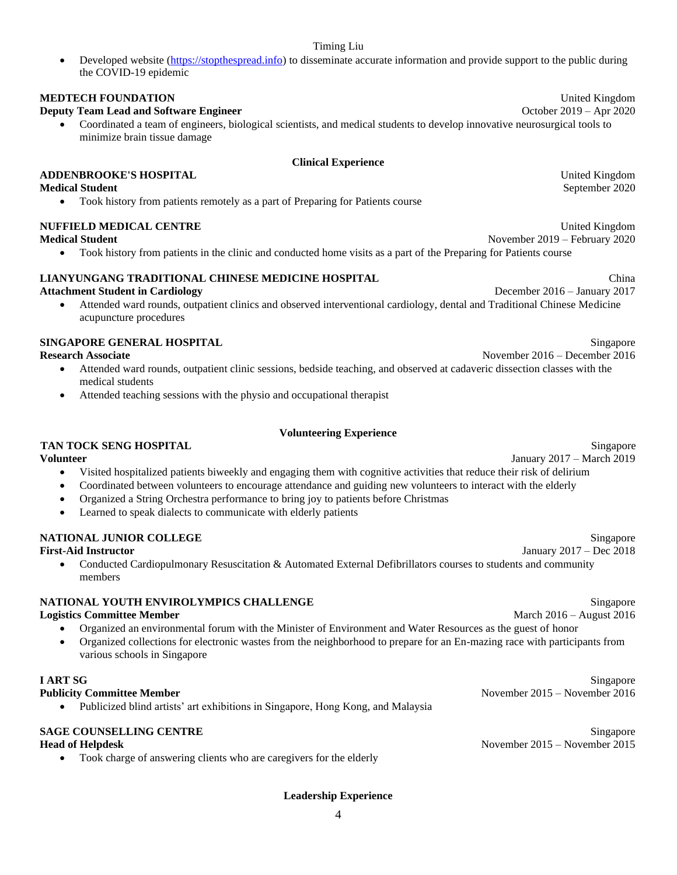Developed website [\(https://stopthespread.info\)](https://stopthespread.info/) to disseminate accurate information and provide support to the public during the COVID-19 epidemic

#### **MEDTECH FOUNDATION** United Kingdom

#### **Deputy Team Lead and Software Engineer**  $\blacksquare$  October 2019 – Apr 2020

• Coordinated a team of engineers, biological scientists, and medical students to develop innovative neurosurgical tools to minimize brain tissue damage

#### **Clinical Experience**

#### **ADDENBROOKE'S HOSPITAL** United Kingdom

#### **Medical Student** September 2020

• Took history from patients remotely as a part of Preparing for Patients course

#### **NUFFIELD MEDICAL CENTRE United Kingdom** United Kingdom

#### **Medical Student** November 2019 – February 2020

• Took history from patients in the clinic and conducted home visits as a part of the Preparing for Patients course

### **LIANYUNGANG TRADITIONAL CHINESE MEDICINE HOSPITAL** China

#### **Attachment Student in Cardiology** December 2016 – January 2017

• Attended ward rounds, outpatient clinics and observed interventional cardiology, dental and Traditional Chinese Medicine acupuncture procedures

### **SINGAPORE GENERAL HOSPITAL** Singapore

- Attended ward rounds, outpatient clinic sessions, bedside teaching, and observed at cadaveric dissection classes with the medical students
- Attended teaching sessions with the physio and occupational therapist

#### **Volunteering Experience**

#### **TAN TOCK SENG HOSPITAL** Singapore

#### **Volunteer** January 2017 – March 2019

- Visited hospitalized patients biweekly and engaging them with cognitive activities that reduce their risk of delirium
- Coordinated between volunteers to encourage attendance and guiding new volunteers to interact with the elderly
- Organized a String Orchestra performance to bring joy to patients before Christmas
- Learned to speak dialects to communicate with elderly patients

#### **NATIONAL JUNIOR COLLEGE** Singapore

• Conducted Cardiopulmonary Resuscitation & Automated External Defibrillators courses to students and community members

#### **NATIONAL YOUTH ENVIROLYMPICS CHALLENGE** Singapore

#### **Logistics Committee Member** March 2016 – August 2016

- Organized an environmental forum with the Minister of Environment and Water Resources as the guest of honor
- Organized collections for electronic wastes from the neighborhood to prepare for an En-mazing race with participants from various schools in Singapore

• Publicized blind artists' art exhibitions in Singapore, Hong Kong, and Malaysia

#### **SAGE COUNSELLING CENTRE** Singapore

• Took charge of answering clients who are caregivers for the elderly

**Research Associate** November 2016 – December 2016

**First-Aid Instructor** January 2017 – Dec 2018

**I ART SG** Singapore

**Publicity Committee Member** 2016 – November 2016 – November 2016 – November 2016 – November 2016

**Head of Helpdesk** November 2015 – November 2015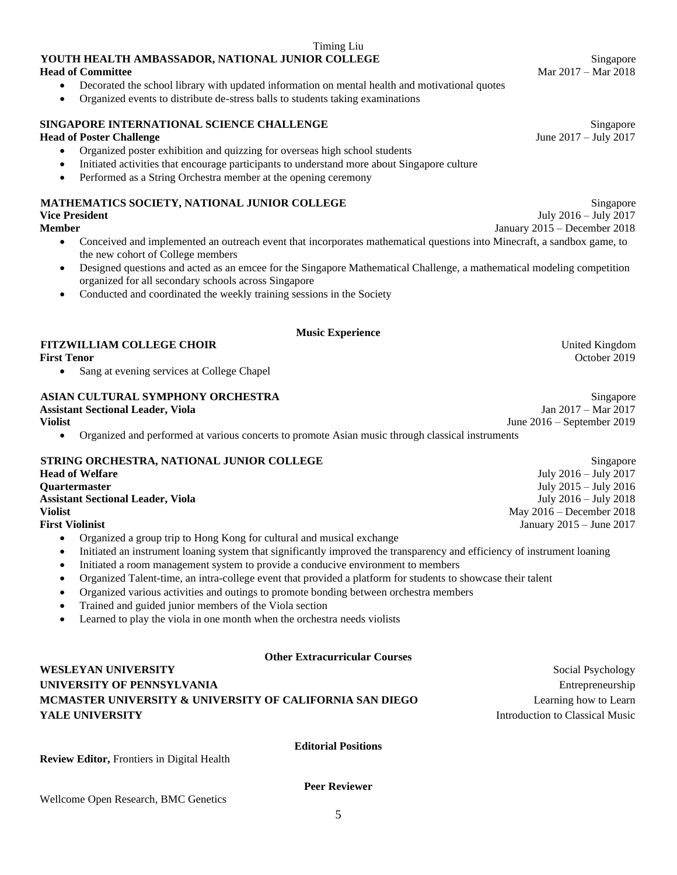**Review Editor,** Frontiers in Digital Health

### **YOUTH HEALTH AMBASSADOR, NATIONAL JUNIOR COLLEGE** Singapore Singapore **Head of Committee Mar 2017 – Mar 2018**

- Decorated the school library with updated information on mental health and motivational quotes
- Organized events to distribute de-stress balls to students taking examinations

### **SINGAPORE INTERNATIONAL SCIENCE CHALLENGE** Singapore Singapore

### **Head of Poster Challenge** June 2017 – July 2017

- Organized poster exhibition and quizzing for overseas high school students
- Initiated activities that encourage participants to understand more about Singapore culture
- Performed as a String Orchestra member at the opening ceremony

#### **MATHEMATICS SOCIETY, NATIONAL JUNIOR COLLEGE** Singapore Singapore **Vice President** July 2016 – July 2017

• Conceived and implemented an outreach event that incorporates mathematical questions into Minecraft, a sandbox game, to the new cohort of College members

Timing Liu

- Designed questions and acted as an emcee for the Singapore Mathematical Challenge, a mathematical modeling competition organized for all secondary schools across Singapore
- Conducted and coordinated the weekly training sessions in the Society

#### **Music Experience**

## **FITZWILLIAM COLLEGE CHOIR** United Kingdom<br> **First Tenor** October 2019

**First Tenor** October 2019

Sang at evening services at College Chapel

### **ASIAN CULTURAL SYMPHONY ORCHESTRA** Singapore

|                                                        | Assistant Sectional Leader, Viola                                                                | Jan $2017 - \text{Mar } 2017$ |  |
|--------------------------------------------------------|--------------------------------------------------------------------------------------------------|-------------------------------|--|
| Violist                                                |                                                                                                  | June $2016$ – September 2019  |  |
|                                                        | Organized and performed at various concerts to promote Asian music through classical instruments |                               |  |
| STRING ORCHESTRA, NATIONAL JUNIOR COLLEGE<br>Singapore |                                                                                                  |                               |  |
|                                                        | <b>Head of Welfare</b>                                                                           | July 2016 – July 2017         |  |

| <b>Head of Welfare</b>                   | July $2016 -$ July $2017$    |
|------------------------------------------|------------------------------|
| <b>Ouartermaster</b>                     | July $2015 -$ July $2016$    |
| <b>Assistant Sectional Leader, Viola</b> | July $2016 -$ July $2018$    |
| <b>Violist</b>                           | May $2016 -$ December 2018   |
| <b>First Violinist</b>                   | January $2015 -$ June $2017$ |
|                                          |                              |

- Organized a group trip to Hong Kong for cultural and musical exchange
- Initiated an instrument loaning system that significantly improved the transparency and efficiency of instrument loaning
- Initiated a room management system to provide a conducive environment to members
- Organized Talent-time, an intra-college event that provided a platform for students to showcase their talent
- Organized various activities and outings to promote bonding between orchestra members
- Trained and guided junior members of the Viola section
- Learned to play the viola in one month when the orchestra needs violists

### **Other Extracurricular Courses**

**WESLEYAN UNIVERSITY** Social Psychology **UNIVERSITY OF PENNSYLVANIA** Entrepreneurship **MCMASTER UNIVERSITY & UNIVERSITY OF CALIFORNIA SAN DIEGO** Learning how to Learn **YALE UNIVERSITY** Introduction to Classical Music

**Editorial Positions**

**Peer Reviewer**

5

**Member** January 2015 – December 2018